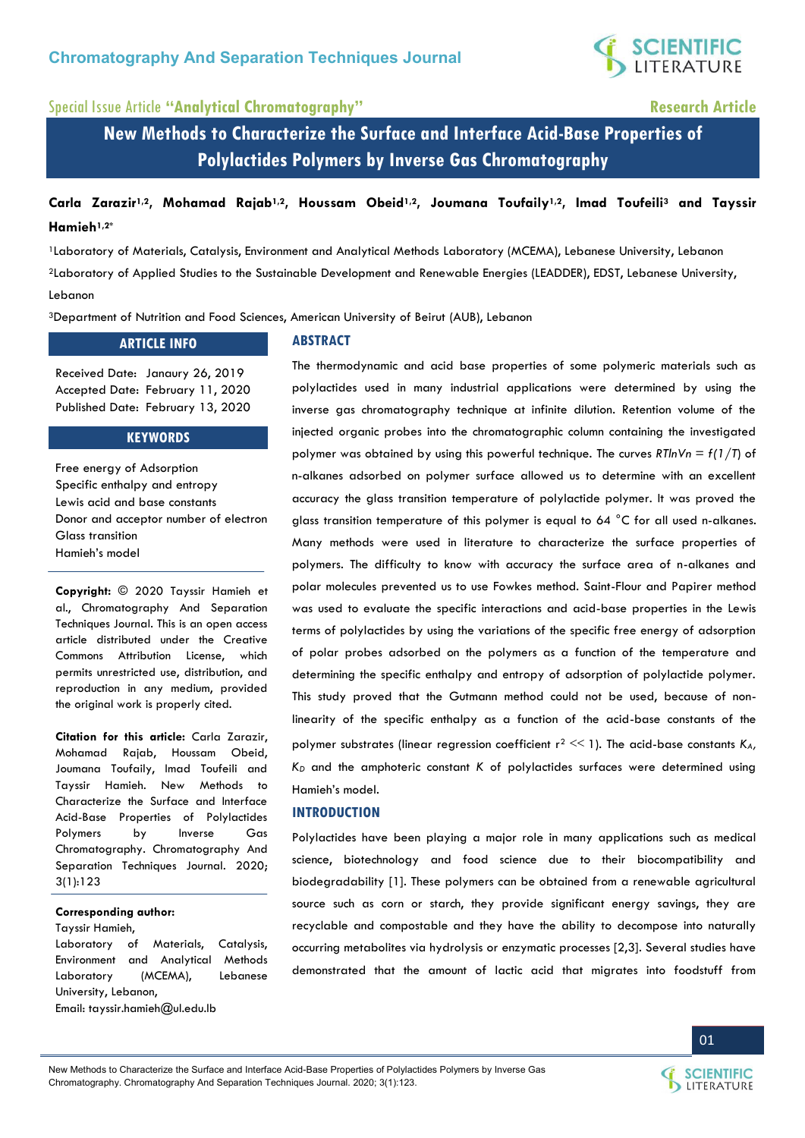

# Special Issue Article **"Analytical Chromatography" Research Article**

**New Methods to Characterize the Surface and Interface Acid-Base Properties of Polylactides Polymers by Inverse Gas Chromatography** 

# **Carla Zarazir1,2, Mohamad Rajab1,2, Houssam Obeid1,2, Joumana Toufaily1,2, Imad Toufeili3 and Tayssir Hamieh1,2\***

<sup>1</sup>Laboratory of Materials, Catalysis, Environment and Analytical Methods Laboratory (MCEMA), Lebanese University, Lebanon <sup>2</sup>Laboratory of Applied Studies to the Sustainable Development and Renewable Energies (LEADDER), EDST, Lebanese University, Lebanon

<sup>3</sup>Department of Nutrition and Food Sciences, American University of Beirut (AUB), Lebanon

### **ARTICLE INFO**

Received Date: Janaury 26, 2019 Accepted Date: February 11, 2020 Published Date: February 13, 2020

### **KEYWORDS**

Free energy of Adsorption Specific enthalpy and entropy Lewis acid and base constants Donor and acceptor number of electron Glass transition Hamieh's model

**Copyright:** © 2020 Tayssir Hamieh et al., Chromatography And Separation Techniques Journal. This is an open access article distributed under the Creative Commons Attribution License, which permits unrestricted use, distribution, and reproduction in any medium, provided the original work is properly cited.

**Citation for this article:** Carla Zarazir, Mohamad Rajab, Houssam Obeid, Joumana Toufaily, Imad Toufeili and Tayssir Hamieh. New Methods to Characterize the Surface and Interface Acid-Base Properties of Polylactides Polymers by Inverse Gas Chromatography. Chromatography And Separation Techniques Journal. 2020; 3(1):123

#### **Corresponding author:**

Tayssir Hamieh,

Laboratory of Materials, Catalysis, Environment and Analytical Methods Laboratory (MCEMA), Lebanese University, Lebanon,

Email: tayssir.hamieh@ul.edu.lb

#### **ABSTRACT**

The thermodynamic and acid base properties of some polymeric materials such as polylactides used in many industrial applications were determined by using the inverse gas chromatography technique at infinite dilution. Retention volume of the injected organic probes into the chromatographic column containing the investigated polymer was obtained by using this powerful technique. The curves *RTlnVn = f(1/T*) of n-alkanes adsorbed on polymer surface allowed us to determine with an excellent accuracy the glass transition temperature of polylactide polymer. It was proved the glass transition temperature of this polymer is equal to 64 °C for all used n-alkanes. Many methods were used in literature to characterize the surface properties of polymers. The difficulty to know with accuracy the surface area of n-alkanes and polar molecules prevented us to use Fowkes method. Saint-Flour and Papirer method was used to evaluate the specific interactions and acid-base properties in the Lewis terms of polylactides by using the variations of the specific free energy of adsorption of polar probes adsorbed on the polymers as a function of the temperature and determining the specific enthalpy and entropy of adsorption of polylactide polymer. This study proved that the Gutmann method could not be used, because of nonlinearity of the specific enthalpy as a function of the acid-base constants of the polymer substrates (linear regression coefficient  $r^2 \le 1$ ). The acid-base constants  $K_A$ , *KD* and the amphoteric constant *K* of polylactides surfaces were determined using Hamieh's model.

#### **INTRODUCTION**

Polylactides have been playing a major role in many applications such as medical science, biotechnology and food science due to their biocompatibility and biodegradability [1]. These polymers can be obtained from a renewable agricultural source such as corn or starch, they provide significant energy savings, they are recyclable and compostable and they have the ability to decompose into naturally occurring metabolites via hydrolysis or enzymatic processes [2,3]. Several studies have demonstrated that the amount of lactic acid that migrates into foodstuff from



New Methods to Characterize the Surface and Interface Acid-Base Properties of Polylactides Polymers by Inverse Gas Chromatography. Chromatography And Separation Techniques Journal. 2020; 3(1):123.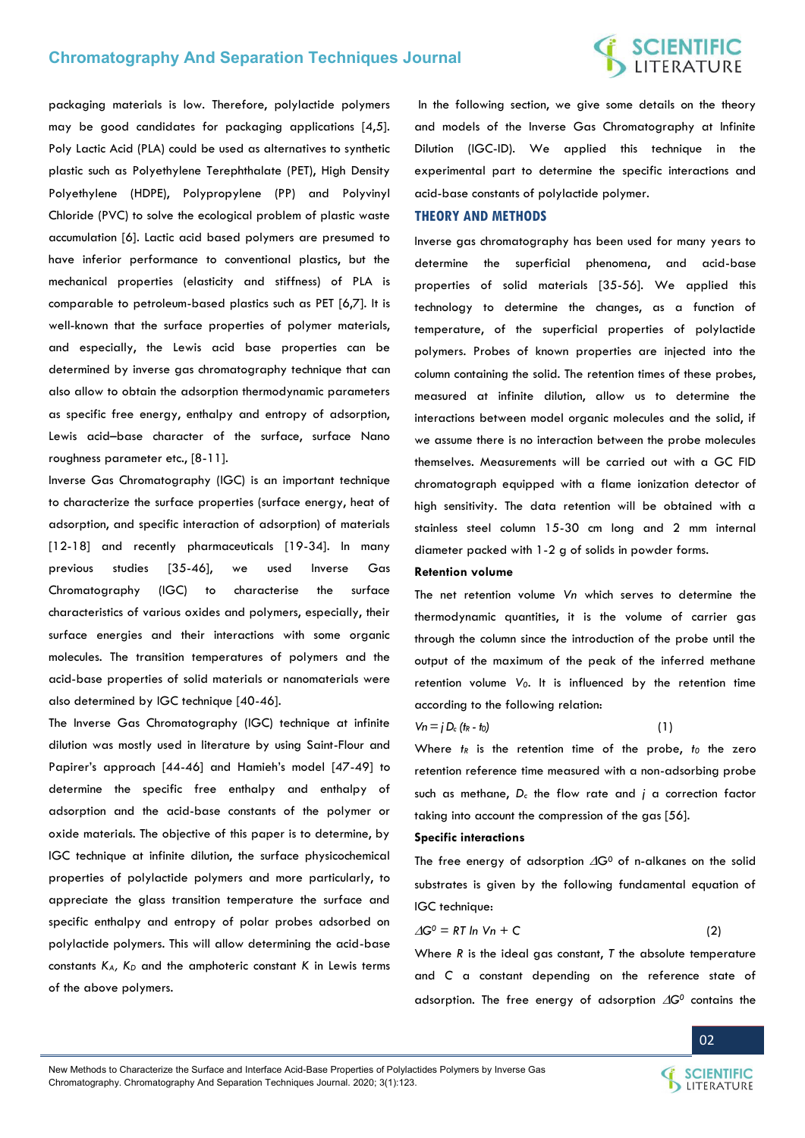# **SCIENTIFIC**<br>LITERATURE

packaging materials is low. Therefore, polylactide polymers may be good candidates for packaging applications [4,5]. Poly Lactic Acid (PLA) could be used as alternatives to synthetic plastic such as Polyethylene Terephthalate (PET), High Density Polyethylene (HDPE), Polypropylene (PP) and Polyvinyl Chloride (PVC) to solve the ecological problem of plastic waste accumulation [6]. Lactic acid based polymers are presumed to have inferior performance to conventional plastics, but the mechanical properties (elasticity and stiffness) of PLA is comparable to petroleum-based plastics such as PET [6,7]. It is well-known that the surface properties of polymer materials, and especially, the Lewis acid base properties can be determined by inverse gas chromatography technique that can also allow to obtain the adsorption thermodynamic parameters as specific free energy, enthalpy and entropy of adsorption, Lewis acid–base character of the surface, surface Nano roughness parameter etc., [8-11].

Inverse Gas Chromatography (IGC) is an important technique to characterize the surface properties (surface energy, heat of adsorption, and specific interaction of adsorption) of materials [12-18] and recently pharmaceuticals [19-34]. In many previous studies [35-46], we used Inverse Gas Chromatography (IGC) to characterise the surface characteristics of various oxides and polymers, especially, their surface energies and their interactions with some organic molecules. The transition temperatures of polymers and the acid-base properties of solid materials or nanomaterials were also determined by IGC technique [40-46].

The Inverse Gas Chromatography (IGC) technique at infinite dilution was mostly used in literature by using Saint-Flour and Papirer's approach [44-46] and Hamieh's model [47-49] to determine the specific free enthalpy and enthalpy of adsorption and the acid-base constants of the polymer or oxide materials. The objective of this paper is to determine, by IGC technique at infinite dilution, the surface physicochemical properties of polylactide polymers and more particularly, to appreciate the glass transition temperature the surface and specific enthalpy and entropy of polar probes adsorbed on polylactide polymers. This will allow determining the acid-base constants *KA, KD* and the amphoteric constant *K* in Lewis terms of the above polymers.

 In the following section, we give some details on the theory and models of the Inverse Gas Chromatography at Infinite Dilution (IGC-ID). We applied this technique in the experimental part to determine the specific interactions and acid-base constants of polylactide polymer.

#### **THEORY AND METHODS**

Inverse gas chromatography has been used for many years to determine the superficial phenomena, and acid-base properties of solid materials [35-56]. We applied this technology to determine the changes, as a function of temperature, of the superficial properties of polylactide polymers. Probes of known properties are injected into the column containing the solid. The retention times of these probes, measured at infinite dilution, allow us to determine the interactions between model organic molecules and the solid, if we assume there is no interaction between the probe molecules themselves. Measurements will be carried out with a GC FID chromatograph equipped with a flame ionization detector of high sensitivity. The data retention will be obtained with a stainless steel column 15-30 cm long and 2 mm internal diameter packed with 1-2 g of solids in powder forms.

#### **Retention volume**

The net retention volume *Vn* which serves to determine the thermodynamic quantities, it is the volume of carrier gas through the column since the introduction of the probe until the output of the maximum of the peak of the inferred methane retention volume *V0*. It is influenced by the retention time according to the following relation:

$$
Vn = j D_c (h + t_0)
$$
 (1)

Where  $t$ *R* is the retention time of the probe,  $t$ <sup>0</sup> the zero retention reference time measured with a non-adsorbing probe such as methane, *Dc* the flow rate and *j* a correction factor taking into account the compression of the gas [56].

#### **Specific interactions**

The free energy of adsorption  $\Delta G^0$  of n-alkanes on the solid substrates is given by the following fundamental equation of IGC technique:

$$
\Delta G^0 = RT \ln Vn + C \tag{2}
$$

Where *R* is the ideal gas constant, *T* the absolute temperature and *C* a constant depending on the reference state of adsorption. The free energy of adsorption  $\Delta G^0$  contains the

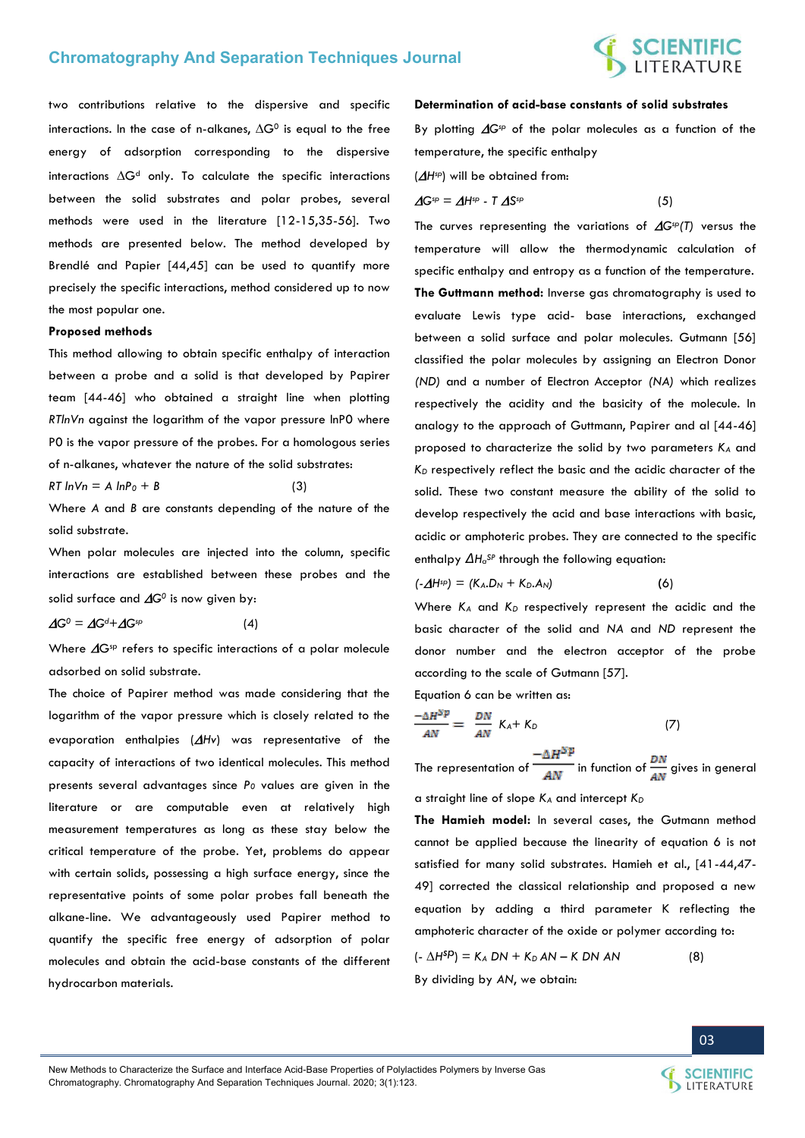# **SCIENTIFIC**<br>LITERATURE

two contributions relative to the dispersive and specific interactions. In the case of n-alkanes,  $\Delta G^0$  is equal to the free energy of adsorption corresponding to the dispersive interactions  $\Delta G^d$  only. To calculate the specific interactions between the solid substrates and polar probes, several methods were used in the literature [12-15,35-56]. Two methods are presented below. The method developed by Brendlé and Papier [44,45] can be used to quantify more precisely the specific interactions, method considered up to now the most popular one.

#### **Proposed methods**

This method allowing to obtain specific enthalpy of interaction between a probe and a solid is that developed by Papirer team [44-46] who obtained a straight line when plotting *RTlnVn* against the logarithm of the vapor pressure lnP0 where P0 is the vapor pressure of the probes. For a homologous series of n-alkanes, whatever the nature of the solid substrates:

 $RT \ln V_n = A \ln P_0 + B$  (3)

Where *A* and *B* are constants depending of the nature of the solid substrate.

When polar molecules are injected into the column, specific interactions are established between these probes and the solid surface and  $\Delta G^0$  is now given by:

$$
\Delta G^0 = \Delta G^{d} + \Delta G^{sp} \tag{4}
$$

Where  $\Delta G$ <sup>sp</sup> refers to specific interactions of a polar molecule adsorbed on solid substrate.

The choice of Papirer method was made considering that the logarithm of the vapor pressure which is closely related to the evaporation enthalpies (*Hv*) was representative of the capacity of interactions of two identical molecules. This method presents several advantages since *P0* values are given in the literature or are computable even at relatively high measurement temperatures as long as these stay below the critical temperature of the probe. Yet, problems do appear with certain solids, possessing a high surface energy, since the representative points of some polar probes fall beneath the alkane-line. We advantageously used Papirer method to quantify the specific free energy of adsorption of polar molecules and obtain the acid-base constants of the different hydrocarbon materials.

#### **Determination of acid-base constants of solid substrates**

By plotting  $\Delta G^{sp}$  of the polar molecules as a function of the temperature, the specific enthalpy

(*Hsp*) will be obtained from:

 $\Delta G^{\text{sp}} = \Delta H^{\text{sp}} - T \Delta S$ 

$$
{}^{\text{sp}} \hspace{2.5cm} (5)
$$

The curves representing the variations of  $\Delta G^{sp}(T)$  versus the temperature will allow the thermodynamic calculation of specific enthalpy and entropy as a function of the temperature. **The Guttmann method:** Inverse gas chromatography is used to evaluate Lewis type acid- base interactions, exchanged between a solid surface and polar molecules. Gutmann [56] classified the polar molecules by assigning an Electron Donor *(ND)* and a number of Electron Acceptor *(NA)* which realizes respectively the acidity and the basicity of the molecule. In analogy to the approach of Guttmann, Papirer and al [44-46] proposed to characterize the solid by two parameters *K<sup>A</sup>* and *KD* respectively reflect the basic and the acidic character of the solid. These two constant measure the ability of the solid to develop respectively the acid and base interactions with basic, acidic or amphoteric probes. They are connected to the specific enthalpy *ΔH<sup>a</sup> SP* through the following equation:

$$
(-\Delta H^{\rm sp}) = (K_A.D_N + K_D.A_N)
$$
 (6)

Where *KA* and *KD* respectively represent the acidic and the basic character of the solid and *NA* and *ND* represent the donor number and the electron acceptor of the probe according to the scale of Gutmann [57].

Equation 6 can be written as:

$$
\frac{-\Delta H^{SP}}{AN} = \frac{DN}{AN} K_A + K_D \tag{7}
$$

The representation of  $\frac{-\Delta H^{\rm Sp}}{AN}$  in function of  $\frac{DN}{AN}$  gives in general

a straight line of slope *KA* and intercept *K<sup>D</sup>*

**The Hamieh model:** In several cases, the Gutmann method cannot be applied because the linearity of equation 6 is not satisfied for many solid substrates. Hamieh et al., [41-44,47- 49] corrected the classical relationship and proposed a new equation by adding a third parameter K reflecting the amphoteric character of the oxide or polymer according to:

$$
(-\Delta H^{SD}) = K_A DN + K_D AN - K DN AN \qquad (8)
$$

By dividing by *AN*, we obtain:



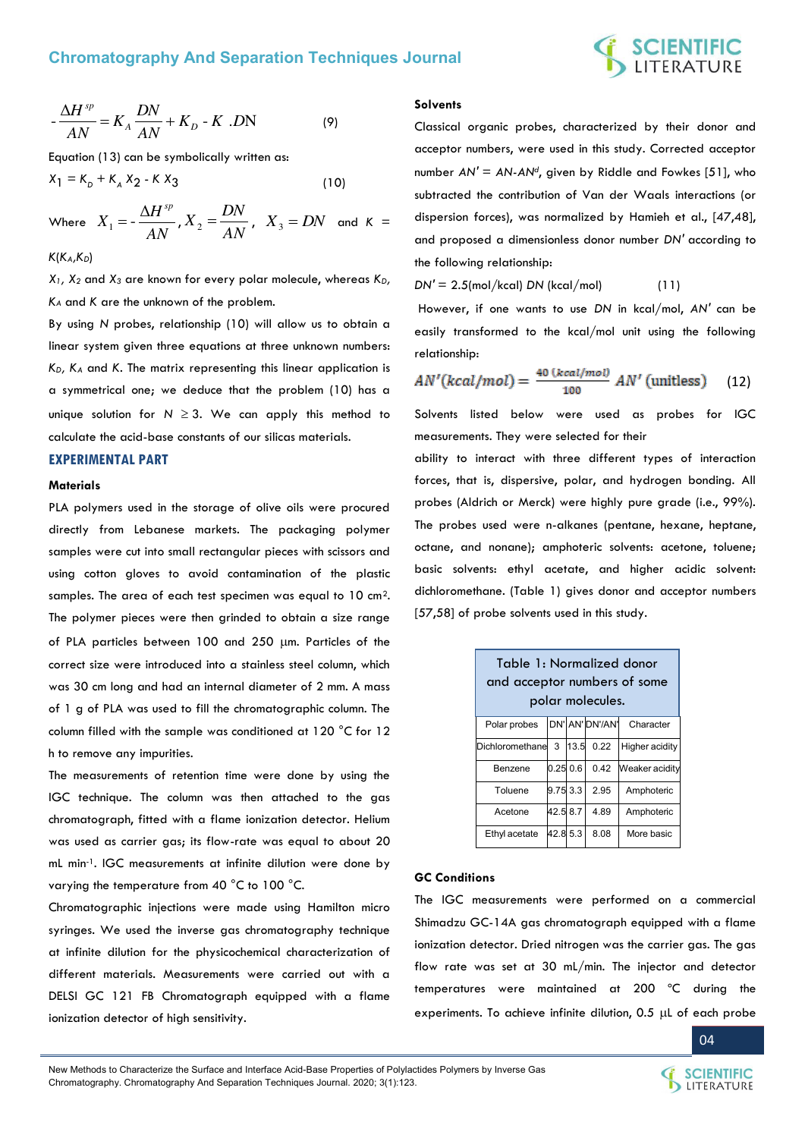# **SCIENTIFIC**<br>LITERATURE

$$
-\frac{\Delta H^{sp}}{AN} = K_A \frac{DN}{AN} + K_D - K \cdot DN \tag{9}
$$

Equation (13) can be symbolically written as:

$$
X_1 = K_p + K_A X_2 - K X_3 \tag{10}
$$

Where  $X_1 = -\frac{1}{AN}$  $X_1 = -\frac{\Delta H^{sp}}{M}$ *AN*  $X_2 = \frac{DN}{MN}$ ,  $X_3 = DN$  and  $K =$ 

#### *K*(*KA,KD*)

*X1, X2* and *X3* are known for every polar molecule, whereas *KD, KA* and *K* are the unknown of the problem.

By using *N* probes, relationship (10) will allow us to obtain a linear system given three equations at three unknown numbers: *KD, KA* and *K*. The matrix representing this linear application is a symmetrical one; we deduce that the problem (10) has a unique solution for  $N \geq 3$ . We can apply this method to calculate the acid-base constants of our silicas materials.

### **EXPERIMENTAL PART**

#### **Materials**

PLA polymers used in the storage of olive oils were procured directly from Lebanese markets. The packaging polymer samples were cut into small rectangular pieces with scissors and using cotton gloves to avoid contamination of the plastic samples. The area of each test specimen was equal to 10 cm2. The polymer pieces were then grinded to obtain a size range of PLA particles between 100 and 250 um. Particles of the correct size were introduced into a stainless steel column, which was 30 cm long and had an internal diameter of 2 mm. A mass of 1 g of PLA was used to fill the chromatographic column. The column filled with the sample was conditioned at 120 °C for 12 h to remove any impurities.

The measurements of retention time were done by using the IGC technique. The column was then attached to the gas chromatograph, fitted with a flame ionization detector. Helium was used as carrier gas; its flow-rate was equal to about 20 mL min-1. IGC measurements at infinite dilution were done by varying the temperature from 40 °C to 100 °C.

Chromatographic injections were made using Hamilton micro syringes. We used the inverse gas chromatography technique at infinite dilution for the physicochemical characterization of different materials. Measurements were carried out with a DELSI GC 121 FB Chromatograph equipped with a flame ionization detector of high sensitivity.

#### **Solvents**

Classical organic probes, characterized by their donor and acceptor numbers, were used in this study. Corrected acceptor number *AN′ = AN-AN<sup>d</sup>* , given by Riddle and Fowkes [51], who subtracted the contribution of Van der Waals interactions (or dispersion forces), was normalized by Hamieh et al., [47,48], and proposed a dimensionless donor number *DN′* according to the following relationship:

*DN′* = 2.5(mol/kcal) *DN* (kcal/mol) (11)

 However, if one wants to use *DN* in kcal/mol, *AN′* can be easily transformed to the kcal/mol unit using the following relationship:

$$
AN'(kcal/mol) = \frac{40 (kcal/mol)}{100} \ AN'(unitless)
$$
 (12)

Solvents listed below were used as probes for IGC measurements. They were selected for their

ability to interact with three different types of interaction forces, that is, dispersive, polar, and hydrogen bonding. All probes (Aldrich or Merck) were highly pure grade (i.e., 99%). The probes used were n-alkanes (pentane, hexane, heptane, octane, and nonane); amphoteric solvents: acetone, toluene; basic solvents: ethyl acetate, and higher acidic solvent: dichloromethane. (Table 1) gives donor and acceptor numbers [57,58] of probe solvents used in this study.

| Table 1: Normalized donor<br>and acceptor numbers of some<br>polar molecules. |          |  |                         |                           |
|-------------------------------------------------------------------------------|----------|--|-------------------------|---------------------------|
| Polar probes                                                                  |          |  |                         | DN' AN' DN'/AN' Character |
| Dichloromethane                                                               |          |  | $3 \mid 13.5 \mid 0.22$ | <b>Higher acidity</b>     |
| Benzene                                                                       | 0.25 0.6 |  | 0.42                    | Weaker acidity            |
| Toluene                                                                       | 9.75 3.3 |  | 2.95                    | Amphoteric                |
| Acetone                                                                       | 42.5 8.7 |  | 4.89                    | Amphoteric                |
| Ethyl acetate                                                                 | 42.8 5.3 |  | 8.08                    | More basic                |

#### **GC Conditions**

The IGC measurements were performed on a commercial Shimadzu GC-14A gas chromatograph equipped with a flame ionization detector. Dried nitrogen was the carrier gas. The gas flow rate was set at 30 mL/min. The injector and detector temperatures were maintained at 200 ºC during the experiments. To achieve infinite dilution,  $0.5$   $\mu$ L of each probe

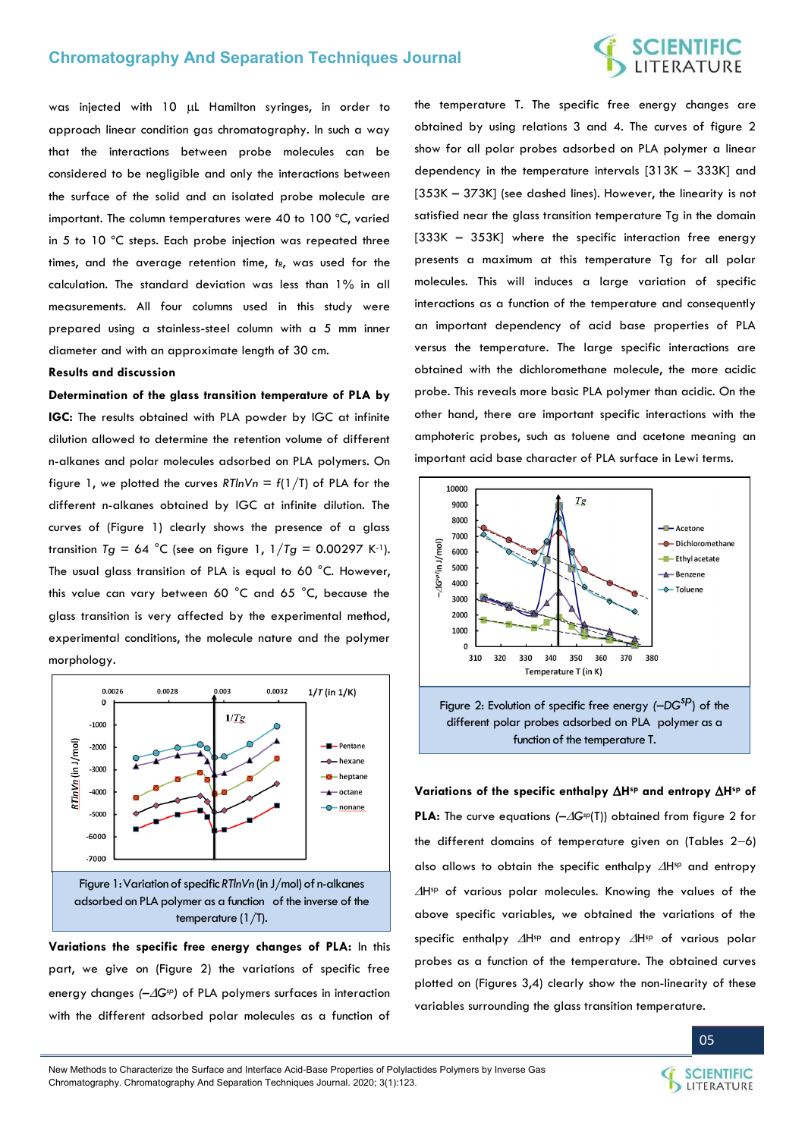# **SCIENTIFIC**<br>LITERATURE

was injected with 10 µL Hamilton syringes, in order to approach linear condition gas chromatography. In such a way that the interactions between probe molecules can be considered to be negligible and only the interactions between the surface of the solid and an isolated probe molecule are important. The column temperatures were 40 to 100 ºC, varied in 5 to 10 ºC steps. Each probe injection was repeated three times, and the average retention time, *tR*, was used for the calculation. The standard deviation was less than 1% in all measurements. All four columns used in this study were prepared using a stainless-steel column with a 5 mm inner diameter and with an approximate length of 30 cm.

#### **Results and discussion**

**Determination of the glass transition temperature of PLA by IGC:** The results obtained with PLA powder by IGC at infinite dilution allowed to determine the retention volume of different n-alkanes and polar molecules adsorbed on PLA polymers. On figure 1, we plotted the curves  $R T ln V n = f(1/T)$  of PLA for the different n-alkanes obtained by IGC at infinite dilution. The curves of (Figure 1) clearly shows the presence of a glass transition  $Tg = 64$  °C (see on figure 1,  $1/Tg = 0.00297$  K<sup>-1</sup>). The usual glass transition of PLA is equal to 60 °C. However, this value can vary between 60 °C and 65 °C, because the glass transition is very affected by the experimental method, experimental conditions, the molecule nature and the polymer morphology.



**Variations the specific free energy changes of PLA:** In this part, we give on (Figure 2) the variations of specific free energy changes *(–Gsp)* of PLA polymers surfaces in interaction with the different adsorbed polar molecules as a function of

the temperature T. The specific free energy changes are obtained by using relations 3 and 4. The curves of figure 2 show for all polar probes adsorbed on PLA polymer a linear dependency in the temperature intervals [313K – 333K] and [353K – 373K] (see dashed lines). However, the linearity is not satisfied near the glass transition temperature Tg in the domain [333K – 353K] where the specific interaction free energy presents a maximum at this temperature Tg for all polar molecules. This will induces a large variation of specific interactions as a function of the temperature and consequently an important dependency of acid base properties of PLA versus the temperature. The large specific interactions are obtained with the dichloromethane molecule, the more acidic probe. This reveals more basic PLA polymer than acidic. On the other hand, there are important specific interactions with the amphoteric probes, such as toluene and acetone meaning an important acid base character of PLA surface in Lewi terms.



#### **Variations of the specific enthalpy Hsp and entropy Hsp of**

**PLA:** The curve equations *(–Gsp*(T)) obtained from figure 2 for the different domains of temperature given on (Tables  $2-6$ ) also allows to obtain the specific enthalpy  $\Delta H^{sp}$  and entropy Hsp of various polar molecules. Knowing the values of the above specific variables, we obtained the variations of the specific enthalpy  $\Delta H^{sp}$  and entropy  $\Delta H^{sp}$  of various polar probes as a function of the temperature. The obtained curves plotted on (Figures 3,4) clearly show the non-linearity of these variables surrounding the glass transition temperature.



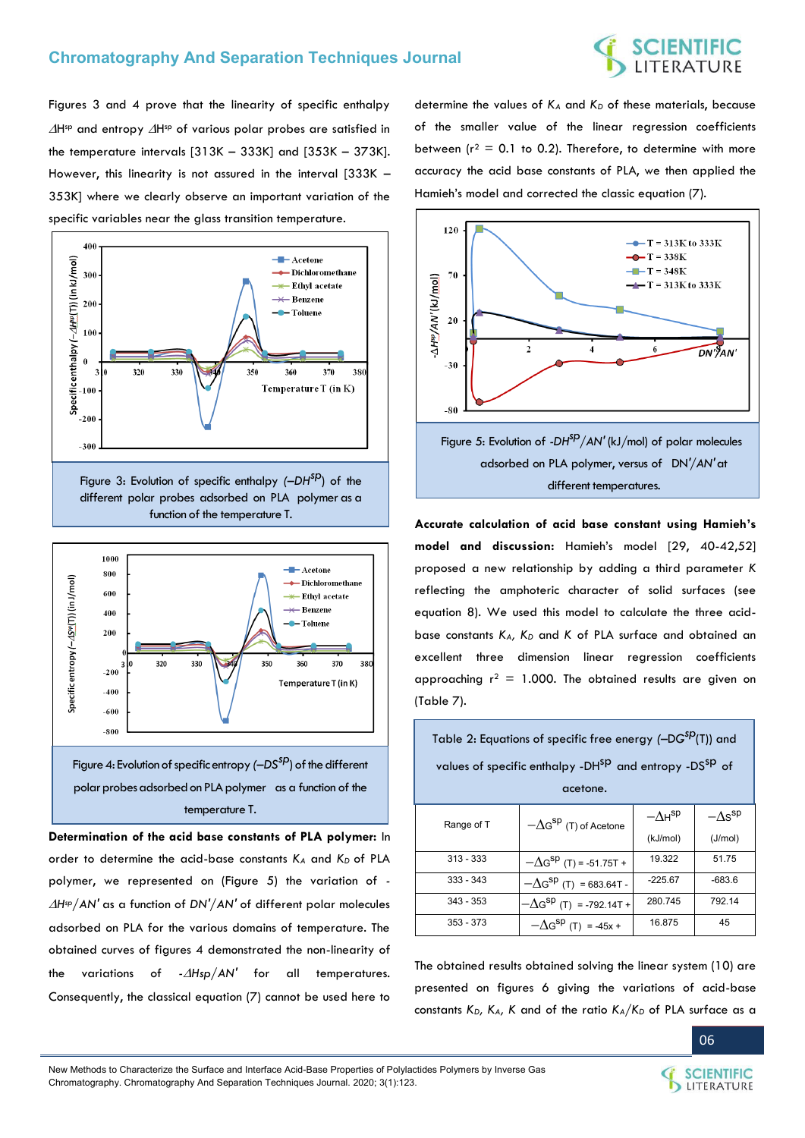Figures 3 and 4 prove that the linearity of specific enthalpy  $\Delta H$ <sup>sp</sup> and entropy  $\Delta H$ <sup>sp</sup> of various polar probes are satisfied in the temperature intervals [313K – 333K] and [353K – 373K]. However, this linearity is not assured in the interval [333K – 353K] where we clearly observe an important variation of the specific variables near the glass transition temperature.



Figure 3: Evolution of specific enthalpy  $(-DH^{SD})$  of the different polar probes adsorbed on PLA polymer as a function of the temperature T.



**Determination of the acid base constants of PLA polymer:** In order to determine the acid-base constants *KA* and *K<sup>D</sup>* of PLA polymer, we represented on (Figure 5) the variation of *- Hsp/AN'* as a function of *DN'/AN'* of different polar molecules adsorbed on PLA for the various domains of temperature. The obtained curves of figures 4 demonstrated the non-linearity of the variations of *-Hsp/AN'* for all temperatures. Consequently, the classical equation (7) cannot be used here to

determine the values of *KA* and *KD* of these materials, because of the smaller value of the linear regression coefficients between ( $r^2$  = 0.1 to 0.2). Therefore, to determine with more accuracy the acid base constants of PLA, we then applied the Hamieh's model and corrected the classic equation (7).



different temperatures.

**Accurate calculation of acid base constant using Hamieh's model and discussion:** Hamieh's model [29, 40-42,52] proposed a new relationship by adding a third parameter *K* reflecting the amphoteric character of solid surfaces (see equation 8). We used this model to calculate the three acidbase constants *KA, K<sup>D</sup>* and *K* of PLA surface and obtained an excellent three dimension linear regression coefficients approaching  $r^2 = 1.000$ . The obtained results are given on (Table 7).

| Table 2: Equations of specific free energy (-DG <sup>SP</sup> (T)) and         |                                   |                  |                            |  |  |
|--------------------------------------------------------------------------------|-----------------------------------|------------------|----------------------------|--|--|
| values of specific enthalpy -DH <sup>SP</sup> and entropy -DS <sup>SP</sup> of |                                   |                  |                            |  |  |
|                                                                                | acetone.                          |                  |                            |  |  |
| Range of T                                                                     | $-\Delta G^{sp}$ (T) of Acetone   | $-\Delta H^{sp}$ | $-\Lambda$ s <sup>sp</sup> |  |  |
|                                                                                |                                   | (kJ/mol)         | (J/mol)                    |  |  |
| $313 - 333$                                                                    | $-\Delta G^{sp}$ (T) = -51.75T +  | 19.322           | 51.75                      |  |  |
| $333 - 343$                                                                    | $-\Delta G^{sp}$ (T) = 683.64T -  | $-225.67$        | $-683.6$                   |  |  |
| $343 - 353$                                                                    | $-\Delta G^{sp}$ (T) = -792.14T + | 280.745          | 792.14                     |  |  |
| 353 - 373                                                                      | $-\Delta G^{sp}$ (T) = -45x +     | 16.875           | 45                         |  |  |

The obtained results obtained solving the linear system (10) are presented on figures 6 giving the variations of acid-base constants *KD, KA, K* and of the ratio *KA/KD* of PLA surface as a



SCIENTIFIC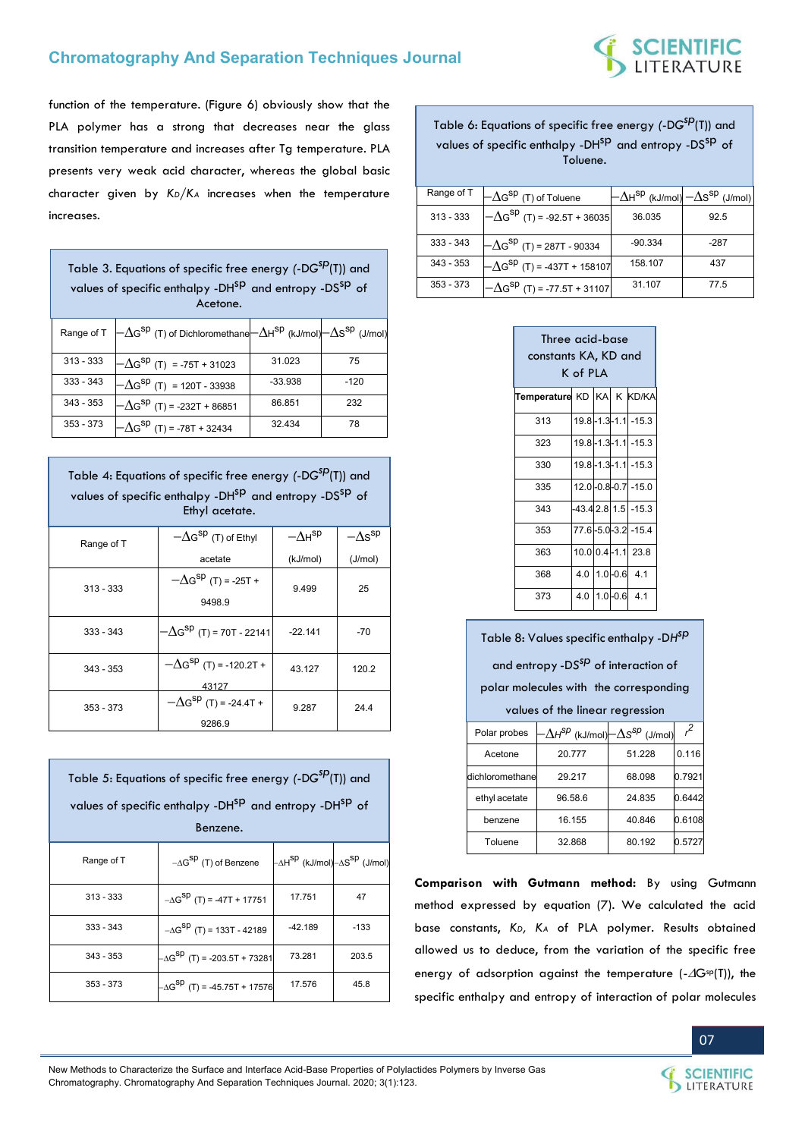

function of the temperature. (Figure 6) obviously show that the PLA polymer has a strong that decreases near the glass transition temperature and increases after Tg temperature. PLA presents very weak acid character, whereas the global basic character given by *KD/KA* increases when the temperature increases.

| Table 3. Equations of specific free energy (-DG <sup>SP</sup> (T)) and<br>values of specific enthalpy -DH <sup>SP</sup> and entropy -DS <sup>SP</sup> of<br>Acetone. |                                                                                                                                                                 |           |        |  |
|----------------------------------------------------------------------------------------------------------------------------------------------------------------------|-----------------------------------------------------------------------------------------------------------------------------------------------------------------|-----------|--------|--|
|                                                                                                                                                                      | Range of T $\left[-\Delta G^{\rm sp}\left(T\right)$ of Dichloromethane $\left[-\Delta H^{\rm sp}\left(kJ/mol\right)\right]-\Delta S^{\rm sp}\left(J/mol\right)$ |           |        |  |
| $313 - 333$                                                                                                                                                          | $-\Delta G^{sp}$ (T) = -75T + 31023                                                                                                                             | 31.023    | 75     |  |
| $333 - 343$                                                                                                                                                          | $-\Delta G^{sp}$ (T) = 120T - 33938                                                                                                                             | $-33.938$ | $-120$ |  |
| $343 - 353$                                                                                                                                                          | $-\Delta G^{sp}$ (T) = -232T + 86851                                                                                                                            | 86.851    | 232    |  |
| $353 - 373$                                                                                                                                                          | $-\Delta G^{sp}$ (T) = -78T + 32434                                                                                                                             | 32.434    | 78     |  |

| Table 4: Equations of specific free energy (-DG <sup>SP</sup> (T)) and<br>values of specific enthalpy -DH <sup>SP</sup> and entropy -DS <sup>SP</sup> of<br>Ethyl acetate. |                                              |                  |                  |  |
|----------------------------------------------------------------------------------------------------------------------------------------------------------------------------|----------------------------------------------|------------------|------------------|--|
| Range of T                                                                                                                                                                 | $-\Delta G^{sp}$ (T) of Ethyl                | $-\Delta H^{sp}$ | $-\Delta s^{sp}$ |  |
|                                                                                                                                                                            | acetate                                      | (kJ/mol)         | (J/mol)          |  |
| $313 - 333$                                                                                                                                                                | $-\Delta G^{sp}$ (T) = -25T +<br>9498.9      | 9.499            | 25               |  |
| $333 - 343$                                                                                                                                                                | $-\Delta$ G $^{\text{sp}}$ (T) = 70T - 22141 | $-22.141$        | -70              |  |
| $343 - 353$                                                                                                                                                                | $-\Delta G^{sp}$ (T) = -120.2T +<br>43127    | 43.127           | 120.2            |  |
| $353 - 373$                                                                                                                                                                | $-\Delta G^{SP}$ (T) = -24.4T +<br>9286.9    | 9.287            | 24.4             |  |

| Table 5: Equations of specific free energy (-DG <sup>SP</sup> (T)) and<br>values of specific enthalpy -DH <sup>SP</sup> and entropy -DH <sup>SP</sup> of |                                        |                                                     |        |  |
|----------------------------------------------------------------------------------------------------------------------------------------------------------|----------------------------------------|-----------------------------------------------------|--------|--|
| Benzene.                                                                                                                                                 |                                        |                                                     |        |  |
| Range of T                                                                                                                                               | $-\Delta G^{sp}$ (T) of Benzene        | –∆H <sup>Sp</sup> (kJ/mol)–∆S <sup>Sp</sup> (J/mol) |        |  |
| $313 - 333$                                                                                                                                              | $-\Delta G^{SP}$ (T) = -47T + 17751    | 17.751                                              | 47     |  |
| $333 - 343$                                                                                                                                              | $-\Delta G^{SP}$ (T) = 133T - 42189    | $-42.189$                                           | $-133$ |  |
| $343 - 353$                                                                                                                                              | $-\Delta G^{SP}$ (T) = -203.5T + 73281 | 73.281                                              | 203.5  |  |
| $353 - 373$                                                                                                                                              | $-\Delta G^{SP}$ (T) = -45.75T + 17576 | 17.576                                              | 45.8   |  |

Table 6: Equations of specific free energy *(*-D*G sp*(T)) and values of specific enthalpy -DH<sup>SP</sup> and entropy -DS<sup>SP</sup> of Toluene.

| Range of T  | $-\Delta G^{\text{sp}}$ (T) of Toluene |           | $-\Delta$ H <sup>SP</sup> (kJ/mol) $-\Delta$ S <sup>SP</sup> (J/mol) |
|-------------|----------------------------------------|-----------|----------------------------------------------------------------------|
| $313 - 333$ | $-\Delta G^{sp}$ (T) = -92.5T + 36035  | 36.035    | 92.5                                                                 |
| $333 - 343$ | $-\Delta G^{sp}$ (T) = 287T - 90334    | $-90.334$ | $-287$                                                               |
| $343 - 353$ | $-\Delta G^{sp}$ (T) = -437T + 158107  | 158.107   | 437                                                                  |
| $353 - 373$ | $-\Delta G^{sp}$ (T) = -77.5T + 31107  | 31.107    | 77.5                                                                 |

| Three acid-base<br>constants KA, KD and<br>K of PLA |  |  |  |                       |
|-----------------------------------------------------|--|--|--|-----------------------|
| Temperature KD KA K KD/KA                           |  |  |  |                       |
| 313                                                 |  |  |  | 19.8-1.3-1.1 -15.3    |
| 323                                                 |  |  |  | 19.8-1.3-1.1 -15.3    |
| 330                                                 |  |  |  | 19.8-1.3-1.1 -15.3    |
| 335                                                 |  |  |  | 12.0-0.8-0.7 -15.0    |
| 343                                                 |  |  |  | $-43.4$ 2.8 1.5 -15.3 |
| 353                                                 |  |  |  | 77.6-5.0-3.2 -15.4    |
| 363                                                 |  |  |  | 10.0 0.4 - 1.1 23.8   |
| 368                                                 |  |  |  | 4.0 1.0 - 0.6 4.1     |
| 373                                                 |  |  |  | 4.0 1.0 - 0.6 4.1     |

| Table 8: Values specific enthalpy -DH <sup>SP</sup> |         |                                                   |        |  |  |
|-----------------------------------------------------|---------|---------------------------------------------------|--------|--|--|
| and entropy -DS <sup>SD</sup> of interaction of     |         |                                                   |        |  |  |
| polar molecules with the corresponding              |         |                                                   |        |  |  |
| values of the linear regression                     |         |                                                   |        |  |  |
| Polar probes                                        |         | $\Delta H^{sp}$ (kJ/mol) $-\Delta s^{sp}$ (J/mol) | $r^2$  |  |  |
| Acetone                                             | 20.777  | 51.228                                            | 0.116  |  |  |
| dichloromethane                                     | 29.217  | 68.098                                            | 0.7921 |  |  |
| ethyl acetate                                       | 96.58.6 | 24.835                                            | 0.6442 |  |  |
| benzene                                             | 16.155  | 40.846                                            | 0.6108 |  |  |

**Comparison with Gutmann method:** By using Gutmann method expressed by equation (7). We calculated the acid base constants, *KD, KA* of PLA polymer. Results obtained allowed us to deduce, from the variation of the specific free energy of adsorption against the temperature  $(-\Delta G^{sp}(T))$ , the specific enthalpy and entropy of interaction of polar molecules

Toluene 32.868 80.192 0.5727



**SCIENTIFIC** LITERATURE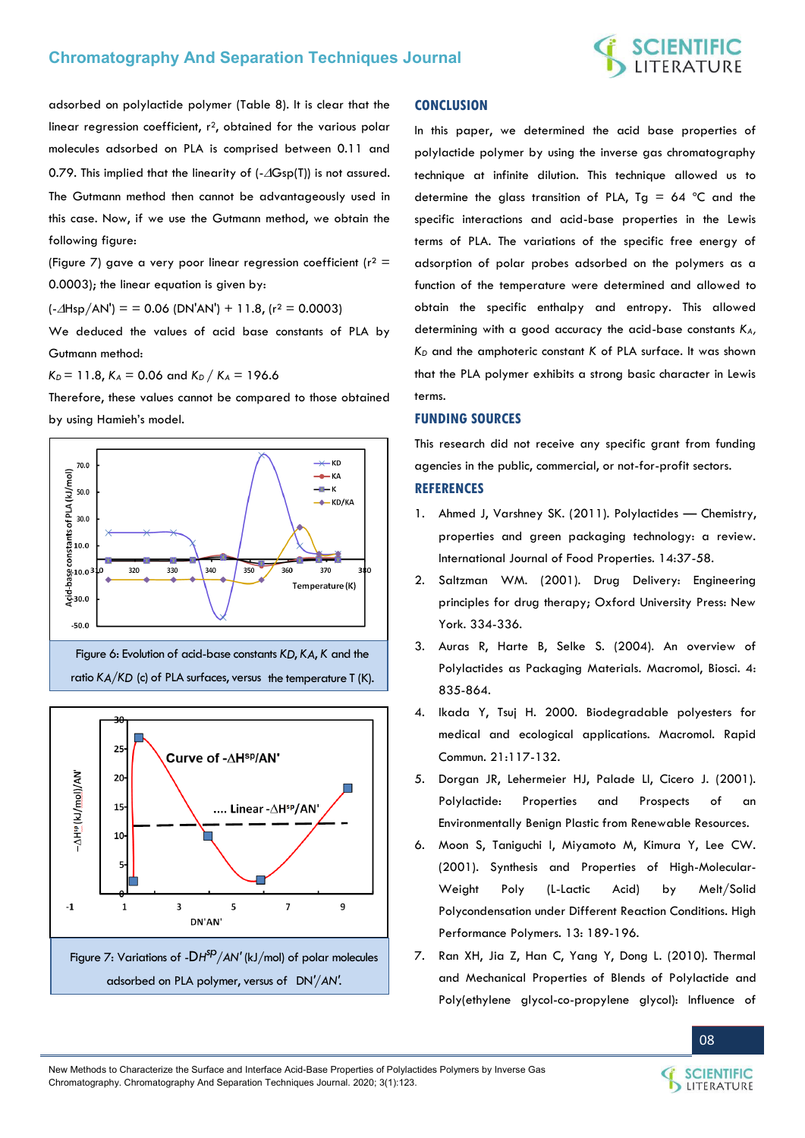

adsorbed on polylactide polymer (Table 8). It is clear that the linear regression coefficient,  $r^2$ , obtained for the various polar molecules adsorbed on PLA is comprised between 0.11 and 0.79. This implied that the linearity of  $(-\Delta Gsp(T))$  is not assured. The Gutmann method then cannot be advantageously used in this case. Now, if we use the Gutmann method, we obtain the following figure:

(Figure 7) gave a very poor linear regression coefficient ( $r^2$  = 0.0003); the linear equation is given by:

 $(-\Delta H_{SD}/AN') =$  = 0.06 (DN'AN') + 11.8, (r<sup>2</sup> = 0.0003)

We deduced the values of acid base constants of PLA by Gutmann method:

 $K_D = 11.8$ ,  $K_A = 0.06$  and  $K_D / K_A = 196.6$ 

Therefore, these values cannot be compared to those obtained by using Hamieh's model.







#### **CONCLUSION**

In this paper, we determined the acid base properties of polylactide polymer by using the inverse gas chromatography technique at infinite dilution. This technique allowed us to determine the glass transition of PLA, Tg =  $64$  °C and the specific interactions and acid-base properties in the Lewis terms of PLA. The variations of the specific free energy of adsorption of polar probes adsorbed on the polymers as a function of the temperature were determined and allowed to obtain the specific enthalpy and entropy. This allowed determining with a good accuracy the acid-base constants *KA, KD* and the amphoteric constant *K* of PLA surface. It was shown that the PLA polymer exhibits a strong basic character in Lewis terms.

#### **FUNDING SOURCES**

This research did not receive any specific grant from funding agencies in the public, commercial, or not-for-profit sectors.

#### **REFERENCES**

- 1. [Ahmed J, Varshney SK. \(2011\). Polylactides](https://www.tandfonline.com/doi/full/10.1080/10942910903125284)  Chemistry, [properties and green packaging technology: a review.](https://www.tandfonline.com/doi/full/10.1080/10942910903125284)  [International Journal of Food Properties. 14:37-58.](https://www.tandfonline.com/doi/full/10.1080/10942910903125284)
- 2. [Saltzman WM. \(2001\). Drug Delivery: Engineering](https://www.amazon.com/Drug-Delivery-Engineering-Principles-Chemical/dp/0195085892)  [principles for drug therapy; Oxford University Press: New](https://www.amazon.com/Drug-Delivery-Engineering-Principles-Chemical/dp/0195085892)  [York. 334-336.](https://www.amazon.com/Drug-Delivery-Engineering-Principles-Chemical/dp/0195085892)
- 3. [Auras R, Harte B, Selke S. \(2004\). An overview of](https://www.ncbi.nlm.nih.gov/pubmed/15468294)  [Polylactides as Packaging Materials. Macromol, Biosci. 4:](https://www.ncbi.nlm.nih.gov/pubmed/15468294)  [835-864.](https://www.ncbi.nlm.nih.gov/pubmed/15468294)
- 4. [Ikada Y, Tsuj H. 2000. Biodegradable polyesters for](http://web.mit.edu/course/10/10.569/www/ikadaPEreview.pdf)  [medical and ecological applications. Macromol. Rapid](http://web.mit.edu/course/10/10.569/www/ikadaPEreview.pdf)  [Commun. 21:117-132.](http://web.mit.edu/course/10/10.569/www/ikadaPEreview.pdf)
- 5. [Dorgan JR, Lehermeier HJ, Palade LI, Cicero J. \(2001\).](https://onlinelibrary.wiley.com/doi/abs/10.1002/1521-3900%28200110%29175%3A1%3C55%3A%3AAID-MASY55%3E3.0.CO%3B2-K)  [Polylactide: Properties and Prospects of an](https://onlinelibrary.wiley.com/doi/abs/10.1002/1521-3900%28200110%29175%3A1%3C55%3A%3AAID-MASY55%3E3.0.CO%3B2-K)  [Environmentally Benign Plastic from Renewable Resources.](https://onlinelibrary.wiley.com/doi/abs/10.1002/1521-3900%28200110%29175%3A1%3C55%3A%3AAID-MASY55%3E3.0.CO%3B2-K)
- 6. [Moon S, Taniguchi I, Miyamoto M, Kimura Y, Lee CW.](https://journals.sagepub.com/doi/abs/10.1088/0954-0083/13/2/317)  [\(2001\). Synthesis and Properties of High-Molecular-](https://journals.sagepub.com/doi/abs/10.1088/0954-0083/13/2/317)[Weight Poly \(L-Lactic Acid\) by Melt/Solid](https://journals.sagepub.com/doi/abs/10.1088/0954-0083/13/2/317)  [Polycondensation under Different Reaction Conditions. High](https://journals.sagepub.com/doi/abs/10.1088/0954-0083/13/2/317)  [Performance Polymers. 13: 189-196.](https://journals.sagepub.com/doi/abs/10.1088/0954-0083/13/2/317)
- 7. [Ran XH, Jia Z, Han C, Yang Y, Dong L. \(2010\). Thermal](https://onlinelibrary.wiley.com/doi/abs/10.1002/app.31701)  [and Mechanical Properties of Blends of Polylactide and](https://onlinelibrary.wiley.com/doi/abs/10.1002/app.31701)  [Poly\(ethylene glycol-co-propylene glycol\): Influence of](https://onlinelibrary.wiley.com/doi/abs/10.1002/app.31701)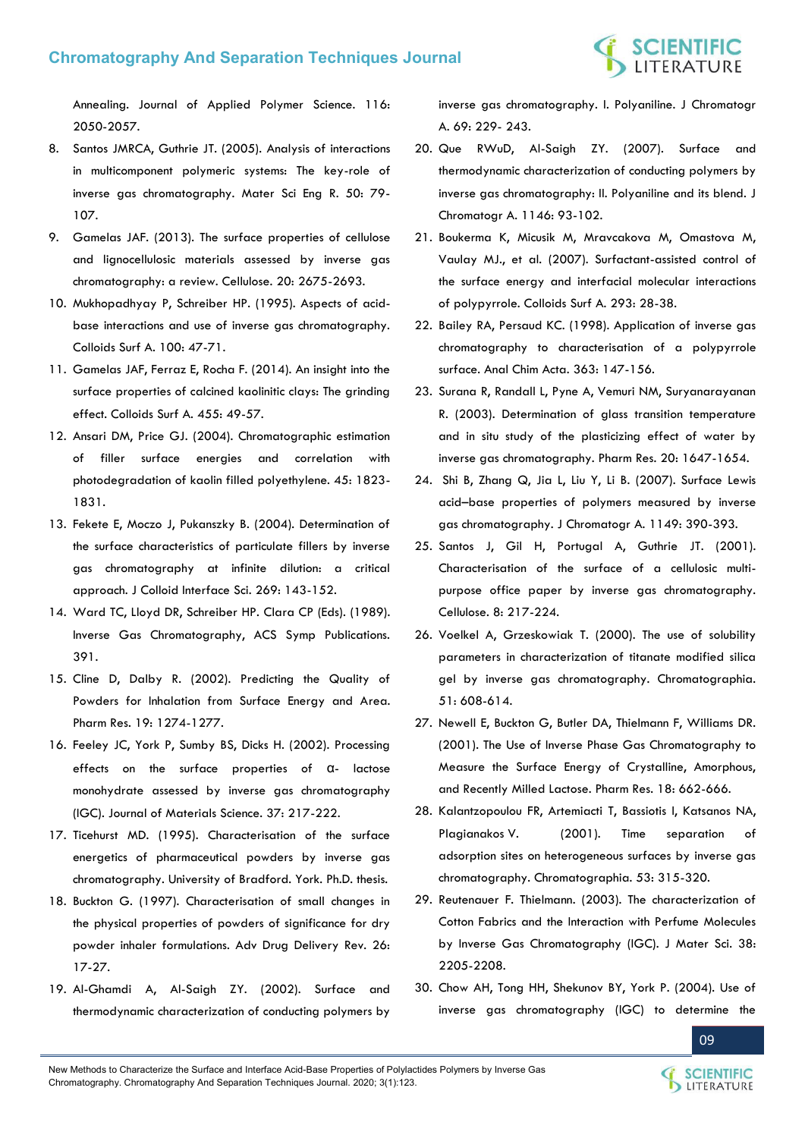

[Annealing. Journal of Applied Polymer Science. 116:](https://onlinelibrary.wiley.com/doi/abs/10.1002/app.31701)  [2050-2057.](https://onlinelibrary.wiley.com/doi/abs/10.1002/app.31701) 

- 8. [Santos JMRCA, Guthrie JT. \(2005\). Analysis of interactions](https://www.sciencedirect.com/science/article/pii/S0927796X05000999)  [in multicomponent polymeric systems: The key-role of](https://www.sciencedirect.com/science/article/pii/S0927796X05000999)  [inverse gas chromatography. Mater Sci Eng R. 50: 79-](https://www.sciencedirect.com/science/article/pii/S0927796X05000999) [107.](https://www.sciencedirect.com/science/article/pii/S0927796X05000999)
- 9. [Gamelas JAF. \(2013\). The surface properties of cellulose](https://link.springer.com/article/10.1007/s10570-013-0066-5)  [and lignocellulosic materials assessed by inverse gas](https://link.springer.com/article/10.1007/s10570-013-0066-5)  [chromatography: a review. Cellulose. 20: 2675-2693.](https://link.springer.com/article/10.1007/s10570-013-0066-5)
- 10. [Mukhopadhyay P, Schreiber HP. \(1995\). Aspects of acid](https://www.sciencedirect.com/science/article/abs/pii/0927775795031373)[base interactions and use of inverse gas chromatography.](https://www.sciencedirect.com/science/article/abs/pii/0927775795031373)  [Colloids Surf A. 100: 47-71.](https://www.sciencedirect.com/science/article/abs/pii/0927775795031373)
- 11. [Gamelas JAF, Ferraz E, Rocha F. \(2014\). An insight into the](https://www.sciencedirect.com/science/article/abs/pii/S0927775714004038)  [surface properties of calcined kaolinitic clays: The grinding](https://www.sciencedirect.com/science/article/abs/pii/S0927775714004038)  [effect. Colloids Surf A. 455: 49-57.](https://www.sciencedirect.com/science/article/abs/pii/S0927775714004038)
- 12. [Ansari DM, Price GJ. \(2004\). Chromatographic estimation](https://www.sciencedirect.com/science/article/abs/pii/S0032386104000448)  [of filler surface energies and correlation with](https://www.sciencedirect.com/science/article/abs/pii/S0032386104000448)  [photodegradation of kaolin filled polyethylene. 45: 1823-](https://www.sciencedirect.com/science/article/abs/pii/S0032386104000448) [1831.](https://www.sciencedirect.com/science/article/abs/pii/S0032386104000448)
- 13. [Fekete E, Moczo J, Pukanszky B. \(2004\). Determination of](https://www.sciencedirect.com/science/article/abs/pii/S0021979703007197)  [the surface characteristics of particulate fillers by inverse](https://www.sciencedirect.com/science/article/abs/pii/S0021979703007197)  [gas chromatography at infinite dilution: a critical](https://www.sciencedirect.com/science/article/abs/pii/S0021979703007197)  [approach. J Colloid Interface Sci. 269: 143-152.](https://www.sciencedirect.com/science/article/abs/pii/S0021979703007197)
- 14. [Ward TC, Lloyd DR, Schreiber HP. Clara CP \(Eds\). \(1989\).](https://pubs.acs.org/isbn/9780841216105)  [Inverse Gas Chromatography, ACS Symp Publications.](https://pubs.acs.org/isbn/9780841216105)  [391.](https://pubs.acs.org/isbn/9780841216105)
- 15. [Cline D, Dalby R. \(2002\). Predicting the Quality of](https://link.springer.com/article/10.1023/A:1020338405947)  [Powders for Inhalation from Surface Energy and Area.](https://link.springer.com/article/10.1023/A:1020338405947)  [Pharm Res. 19: 1274-1277.](https://link.springer.com/article/10.1023/A:1020338405947)
- 16. [Feeley JC, York P, Sumby BS, Dicks H. \(2002\). Processing](https://link.springer.com/article/10.1023/A:1013103521464)  [effects on the surface properties of](https://link.springer.com/article/10.1023/A:1013103521464) α- lactose [monohydrate assessed by inverse gas chromatography](https://link.springer.com/article/10.1023/A:1013103521464)  [\(IGC\). Journal of Materials Science. 37: 217-222.](https://link.springer.com/article/10.1023/A:1013103521464)
- 17. Ticehurst MD. (1995). Characterisation of the surface energetics of pharmaceutical powders by inverse gas chromatography. University of Bradford. York. Ph.D. thesis.
- 18. [Buckton G. \(1997\). Characterisation of small changes in](https://www.sciencedirect.com/science/article/abs/pii/S0169409X97005073)  [the physical properties of powders of significance for dry](https://www.sciencedirect.com/science/article/abs/pii/S0169409X97005073)  [powder inhaler formulations. Adv Drug Delivery Rev. 26:](https://www.sciencedirect.com/science/article/abs/pii/S0169409X97005073)  [17-27.](https://www.sciencedirect.com/science/article/abs/pii/S0169409X97005073)
- 19. [Al-Ghamdi A, Al-Saigh ZY. \(2002\). Surface and](https://www.sciencedirect.com/science/article/abs/pii/S0021967302008877)  [thermodynamic characterization of conducting polymers by](https://www.sciencedirect.com/science/article/abs/pii/S0021967302008877)

[inverse gas chromatography. I. Polyaniline. J Chromatogr](https://www.sciencedirect.com/science/article/abs/pii/S0021967302008877)  [A. 69: 229- 243.](https://www.sciencedirect.com/science/article/abs/pii/S0021967302008877)

- 20. [Que RWuD, Al-Saigh ZY. \(2007\). Surface and](https://www.sciencedirect.com/science/article/abs/pii/S0021967307001719)  [thermodynamic characterization of conducting polymers by](https://www.sciencedirect.com/science/article/abs/pii/S0021967307001719)  [inverse gas chromatography: II. Polyaniline and its blend. J](https://www.sciencedirect.com/science/article/abs/pii/S0021967307001719)  [Chromatogr A. 1146: 93-102.](https://www.sciencedirect.com/science/article/abs/pii/S0021967307001719)
- 21. [Boukerma K, Micusik M, Mravcakova M, Omastova M,](https://www.sciencedirect.com/science/article/abs/pii/S0927775706005073)  [Vaulay MJ., et al. \(2007\). Surfactant-assisted control of](https://www.sciencedirect.com/science/article/abs/pii/S0927775706005073)  [the surface energy and interfacial molecular interactions](https://www.sciencedirect.com/science/article/abs/pii/S0927775706005073)  [of polypyrrole. Colloids Surf A. 293: 28-38.](https://www.sciencedirect.com/science/article/abs/pii/S0927775706005073)
- 22. [Bailey RA, Persaud KC. \(1998\). Application of inverse gas](https://www.sciencedirect.com/science/article/pii/S0003267098000841)  [chromatography to characterisation of a polypyrrole](https://www.sciencedirect.com/science/article/pii/S0003267098000841)  [surface. Anal Chim Acta. 363: 147-156.](https://www.sciencedirect.com/science/article/pii/S0003267098000841)
- 23. [Surana R, Randall L, Pyne A, Vemuri NM, Suryanarayanan](https://link.springer.com/article/10.1023/A:1026199604374)  [R. \(2003\). Determination of glass transition temperature](https://link.springer.com/article/10.1023/A:1026199604374)  [and in situ study of the plasticizing effect of water by](https://link.springer.com/article/10.1023/A:1026199604374)  [inverse gas chromatography. Pharm Res. 20: 1647-1654.](https://link.springer.com/article/10.1023/A:1026199604374)
- 24. [Shi B, Zhang Q, Jia L, Liu Y, Li B. \(2007\). Surface Lewis](https://www.ncbi.nlm.nih.gov/pubmed/17442325)  acid–[base properties of polymers measured by inverse](https://www.ncbi.nlm.nih.gov/pubmed/17442325)  [gas chromatography. J Chromatogr A. 1149: 390-393.](https://www.ncbi.nlm.nih.gov/pubmed/17442325)
- 25. [Santos J, Gil H, Portugal A, Guthrie JT. \(2001\).](https://www.researchgate.net/publication/226248828_Characterisation_of_the_surface_of_a_cellulosic_multi-purpose_office_paper_by_inverse_gas_chromatography)  [Characterisation of the surface of a cellulosic multi](https://www.researchgate.net/publication/226248828_Characterisation_of_the_surface_of_a_cellulosic_multi-purpose_office_paper_by_inverse_gas_chromatography)[purpose office paper by inverse gas chromatography.](https://www.researchgate.net/publication/226248828_Characterisation_of_the_surface_of_a_cellulosic_multi-purpose_office_paper_by_inverse_gas_chromatography)  [Cellulose. 8: 217-224.](https://www.researchgate.net/publication/226248828_Characterisation_of_the_surface_of_a_cellulosic_multi-purpose_office_paper_by_inverse_gas_chromatography)
- 26. [Voelkel A, Grzeskowiak T. \(2000\). The use of solubility](https://link.springer.com/article/10.1007/BF02490820)  [parameters in characterization of titanate modified silica](https://link.springer.com/article/10.1007/BF02490820)  [gel by inverse gas chromatography. Chromatographia.](https://link.springer.com/article/10.1007/BF02490820)  [51: 608-614.](https://link.springer.com/article/10.1007/BF02490820)
- 27. [Newell E, Buckton G, Butler DA, Thielmann F, Williams DR.](https://link.springer.com/article/10.1023/A:1011089511959)  [\(2001\). The Use of Inverse Phase Gas Chromatography to](https://link.springer.com/article/10.1023/A:1011089511959)  [Measure the Surface Energy of Crystalline, Amorphous,](https://link.springer.com/article/10.1023/A:1011089511959)  [and Recently Milled Lactose. Pharm Res. 18: 662-666.](https://link.springer.com/article/10.1023/A:1011089511959)
- 28. [Kalantzopoulou FR, Artemiacti T, Bassiotis I, Katsanos NA,](https://link.springer.com/article/10.1007/BF02490431)  [Plagianakos V. \(2001\). Time separation of](https://link.springer.com/article/10.1007/BF02490431)  [adsorption sites on heterogeneous surfaces by inverse gas](https://link.springer.com/article/10.1007/BF02490431)  [chromatography. Chromatographia. 53: 315-320.](https://link.springer.com/article/10.1007/BF02490431)
- 29. [Reutenauer F. Thielmann. \(2003\). The characterization of](https://link.springer.com/article/10.1023/A:1023788400431)  [Cotton Fabrics and the Interaction with Perfume Molecules](https://link.springer.com/article/10.1023/A:1023788400431)  [by Inverse Gas Chromatography \(IGC\). J Mater Sci. 38:](https://link.springer.com/article/10.1023/A:1023788400431)  [2205-2208.](https://link.springer.com/article/10.1023/A:1023788400431)
- 30. [Chow AH, Tong HH, Shekunov BY, York P. \(2004\). Use of](https://www.ncbi.nlm.nih.gov/pubmed/15497701)  [inverse gas chromatography \(IGC\) to determine the](https://www.ncbi.nlm.nih.gov/pubmed/15497701)

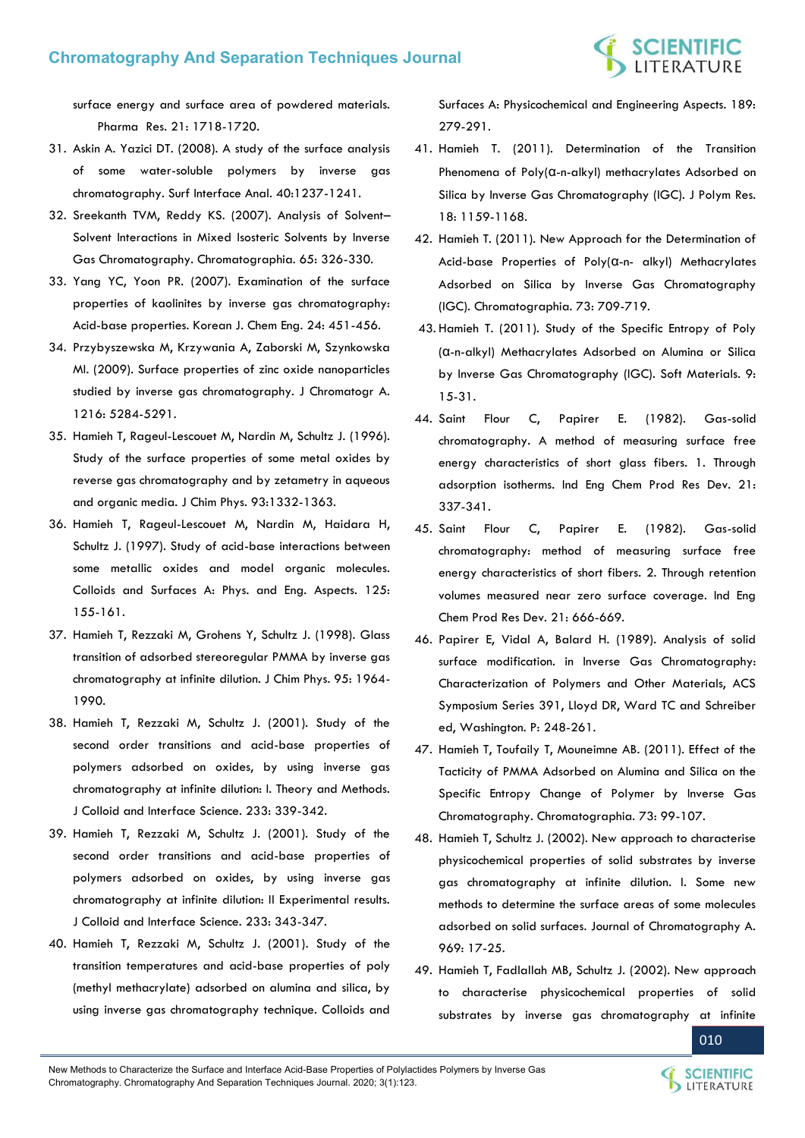

[surface energy and surface area of powdered materials.](https://www.ncbi.nlm.nih.gov/pubmed/15497701)  [Pharma Res. 21: 1718-1720.](https://www.ncbi.nlm.nih.gov/pubmed/15497701)

- 31. [Askin A. Yazici DT. \(2008\). A study of the surface analysis](https://onlinelibrary.wiley.com/doi/abs/10.1002/sia.2869)  [of some water-soluble polymers by inverse gas](https://onlinelibrary.wiley.com/doi/abs/10.1002/sia.2869)  [chromatography. Surf Interface Anal. 40:1237-1241.](https://onlinelibrary.wiley.com/doi/abs/10.1002/sia.2869)
- 32. [Sreekanth TVM, Reddy KS. \(2007\). Analysis of Solvent](https://link.springer.com/article/10.1365/s10337-006-0149-7) [Solvent Interactions in Mixed Isosteric Solvents by Inverse](https://link.springer.com/article/10.1365/s10337-006-0149-7)  [Gas Chromatography. Chromatographia. 65: 326-330.](https://link.springer.com/article/10.1365/s10337-006-0149-7)
- 33. [Yang YC, Yoon PR. \(2007\). Examination of the surface](https://link.springer.com/article/10.1007/s11814-007-0078-7)  [properties of kaolinites by inverse gas chromatography:](https://link.springer.com/article/10.1007/s11814-007-0078-7)  [Acid-base properties. Korean J. Chem Eng. 24: 451-456.](https://link.springer.com/article/10.1007/s11814-007-0078-7)
- 34. [Przybyszewska M, Krzywania A, Zaborski M, Szynkowska](https://www.sciencedirect.com/science/article/abs/pii/S0021967309006827)  [MI. \(2009\). Surface properties of zinc oxide nanoparticles](https://www.sciencedirect.com/science/article/abs/pii/S0021967309006827)  [studied by inverse gas chromatography. J Chromatogr A.](https://www.sciencedirect.com/science/article/abs/pii/S0021967309006827)  [1216: 5284-5291.](https://www.sciencedirect.com/science/article/abs/pii/S0021967309006827)
- 35. [Hamieh T, Rageul-Lescouet M, Nardin M, Schultz J. \(1996\).](https://ui.adsabs.harvard.edu/abs/1996JCP....93.1332H)  [Study of the surface properties of some metal oxides by](https://ui.adsabs.harvard.edu/abs/1996JCP....93.1332H)  [reverse gas chromatography and by zetametry in aqueous](https://ui.adsabs.harvard.edu/abs/1996JCP....93.1332H)  [and organic media. J Chim Phys. 93:1332-1363.](https://ui.adsabs.harvard.edu/abs/1996JCP....93.1332H)
- 36. [Hamieh T, Rageul-Lescouet M, Nardin M, Haidara H,](https://www.sciencedirect.com/science/article/abs/pii/S0927775796038551)  [Schultz J. \(1997\). Study of acid-base interactions between](https://www.sciencedirect.com/science/article/abs/pii/S0927775796038551)  [some metallic oxides and model organic molecules.](https://www.sciencedirect.com/science/article/abs/pii/S0927775796038551)  [Colloids and Surfaces A: Phys. and Eng. Aspects. 125:](https://www.sciencedirect.com/science/article/abs/pii/S0927775796038551)  [155-161.](https://www.sciencedirect.com/science/article/abs/pii/S0927775796038551)
- 37. [Hamieh T, Rezzaki M, Grohens Y, Schultz J. \(1998\). Glass](https://ui.adsabs.harvard.edu/abs/1998JCP....95.1964H/abstract)  [transition of adsorbed stereoregular PMMA by inverse gas](https://ui.adsabs.harvard.edu/abs/1998JCP....95.1964H/abstract)  [chromatography at infinite dilution. J Chim Phys. 95: 1964-](https://ui.adsabs.harvard.edu/abs/1998JCP....95.1964H/abstract) [1990.](https://ui.adsabs.harvard.edu/abs/1998JCP....95.1964H/abstract)
- 38. [Hamieh T, Rezzaki M, Schultz J. \(2001\). Study of the](https://www.sciencedirect.com/science/article/abs/pii/S0021979700972679)  [second order transitions and acid-base properties of](https://www.sciencedirect.com/science/article/abs/pii/S0021979700972679)  [polymers adsorbed on oxides, by using inverse gas](https://www.sciencedirect.com/science/article/abs/pii/S0021979700972679)  [chromatography at infinite dilution: I. Theory and Methods.](https://www.sciencedirect.com/science/article/abs/pii/S0021979700972679)  [J Colloid and Interface Science. 233: 339-342.](https://www.sciencedirect.com/science/article/abs/pii/S0021979700972679)
- 39. [Hamieh T, Rezzaki M, Schultz J. \(2001\). Study of the](https://www.sciencedirect.com/science/article/abs/pii/S0021979700972710)  [second order transitions and acid-base properties of](https://www.sciencedirect.com/science/article/abs/pii/S0021979700972710)  [polymers adsorbed on oxides, by using inverse gas](https://www.sciencedirect.com/science/article/abs/pii/S0021979700972710)  [chromatography at infinite dilution: II Experimental results.](https://www.sciencedirect.com/science/article/abs/pii/S0021979700972710)  [J Colloid and Interface Science. 233: 343-347.](https://www.sciencedirect.com/science/article/abs/pii/S0021979700972710)
- 40. [Hamieh T, Rezzaki M, Schultz J. \(2001\). Study of the](https://www.sciencedirect.com/science/article/abs/pii/S0927775701005970)  [transition temperatures and acid-base properties of poly](https://www.sciencedirect.com/science/article/abs/pii/S0927775701005970)  [\(methyl methacrylate\) adsorbed on alumina and silica, by](https://www.sciencedirect.com/science/article/abs/pii/S0927775701005970)  [using inverse gas chromatography technique. Colloids and](https://www.sciencedirect.com/science/article/abs/pii/S0927775701005970)

[Surfaces A: Physicochemical and Engineering Aspects. 189:](https://www.sciencedirect.com/science/article/abs/pii/S0927775701005970)  [279-291.](https://www.sciencedirect.com/science/article/abs/pii/S0927775701005970) 

- 41. [Hamieh T. \(2011\). Determination of the Transition](https://link.springer.com/article/10.1007/s10965-010-9519-9)  Phenomena of Poly(α[-n-alkyl\) methacrylates Adsorbed on](https://link.springer.com/article/10.1007/s10965-010-9519-9)  [Silica by Inverse Gas Chromatography \(IGC\). J Polym Res.](https://link.springer.com/article/10.1007/s10965-010-9519-9)  [18: 1159-1168.](https://link.springer.com/article/10.1007/s10965-010-9519-9)
- 42. [Hamieh T. \(2011\). New Approach for the Determination of](https://www.researchgate.net/publication/225977200_Determination_of_Lewis_Acid_Base_Properties_of_Polya-n-alkyl_Methacrylates_Adsorbed_on_Silica_by_Inverse_GC)  [Acid-base Properties of Poly\(](https://www.researchgate.net/publication/225977200_Determination_of_Lewis_Acid_Base_Properties_of_Polya-n-alkyl_Methacrylates_Adsorbed_on_Silica_by_Inverse_GC)α-n- alkyl) Methacrylates [Adsorbed on Silica by Inverse Gas Chromatography](https://www.researchgate.net/publication/225977200_Determination_of_Lewis_Acid_Base_Properties_of_Polya-n-alkyl_Methacrylates_Adsorbed_on_Silica_by_Inverse_GC)  [\(IGC\). Chromatographia. 73: 709-719.](https://www.researchgate.net/publication/225977200_Determination_of_Lewis_Acid_Base_Properties_of_Polya-n-alkyl_Methacrylates_Adsorbed_on_Silica_by_Inverse_GC)
- 43[. Hamieh T. \(2011\). Study of the Specific Entropy of Poly](https://www.tandfonline.com/doi/abs/10.1080/1539445X.2010.521608)  (α[-n-alkyl\) Methacrylates Adsorbed on Alumina or Silica](https://www.tandfonline.com/doi/abs/10.1080/1539445X.2010.521608)  [by Inverse Gas Chromatography \(IGC\). Soft Materials. 9:](https://www.tandfonline.com/doi/abs/10.1080/1539445X.2010.521608)  [15-31.](https://www.tandfonline.com/doi/abs/10.1080/1539445X.2010.521608)
- 44. [Saint Flour C, Papirer E. \(1982\). Gas-solid](https://www.researchgate.net/publication/231297698_Gas-solid_chromatography_A_method_of_measuring_surface_free_energy_characteristics_of_short_glass_fibers_1_Through_adsorption_isotherms)  [chromatography. A method of measuring surface free](https://www.researchgate.net/publication/231297698_Gas-solid_chromatography_A_method_of_measuring_surface_free_energy_characteristics_of_short_glass_fibers_1_Through_adsorption_isotherms)  [energy characteristics of short glass fibers. 1. Through](https://www.researchgate.net/publication/231297698_Gas-solid_chromatography_A_method_of_measuring_surface_free_energy_characteristics_of_short_glass_fibers_1_Through_adsorption_isotherms)  [adsorption isotherms. Ind Eng Chem Prod Res Dev. 21:](https://www.researchgate.net/publication/231297698_Gas-solid_chromatography_A_method_of_measuring_surface_free_energy_characteristics_of_short_glass_fibers_1_Through_adsorption_isotherms)  [337-341.](https://www.researchgate.net/publication/231297698_Gas-solid_chromatography_A_method_of_measuring_surface_free_energy_characteristics_of_short_glass_fibers_1_Through_adsorption_isotherms)
- 45. [Saint Flour C, Papirer E. \(1982\). Gas-solid](https://pubs.acs.org/doi/abs/10.1021/i300008a031)  [chromatography: method of measuring surface free](https://pubs.acs.org/doi/abs/10.1021/i300008a031)  [energy characteristics of short fibers. 2. Through retention](https://pubs.acs.org/doi/abs/10.1021/i300008a031)  [volumes measured near zero surface coverage. Ind Eng](https://pubs.acs.org/doi/abs/10.1021/i300008a031)  [Chem Prod Res Dev. 21: 666-669.](https://pubs.acs.org/doi/abs/10.1021/i300008a031)
- 46. [Papirer E, Vidal A, Balard H. \(1989\). Analysis of solid](https://pubs.acs.org/doi/abs/10.1021/bk-1989-0391.ch018)  [surface modification. in Inverse Gas Chromatography:](https://pubs.acs.org/doi/abs/10.1021/bk-1989-0391.ch018)  [Characterization of Polymers and Other Materials, ACS](https://pubs.acs.org/doi/abs/10.1021/bk-1989-0391.ch018)  [Symposium Series 391, Lloyd DR, Ward TC and Schreiber](https://pubs.acs.org/doi/abs/10.1021/bk-1989-0391.ch018)  [ed, Washington. P: 248-261.](https://pubs.acs.org/doi/abs/10.1021/bk-1989-0391.ch018)
- 47. [Hamieh T, Toufaily T, Mouneimne AB. \(2011\). Effect of the](https://link.springer.com/article/10.1007/s10337-010-1824-2)  [Tacticity of PMMA Adsorbed on Alumina and Silica on the](https://link.springer.com/article/10.1007/s10337-010-1824-2)  [Specific Entropy Change of Polymer by Inverse Gas](https://link.springer.com/article/10.1007/s10337-010-1824-2)  [Chromatography. Chromatographia. 73: 99-107.](https://link.springer.com/article/10.1007/s10337-010-1824-2)
- 48. [Hamieh T, Schultz J. \(2002\). New approach to characterise](https://www.sciencedirect.com/science/article/abs/pii/S0021967302003680)  [physicochemical properties of solid substrates by inverse](https://www.sciencedirect.com/science/article/abs/pii/S0021967302003680)  [gas chromatography at infinite dilution. I. Some new](https://www.sciencedirect.com/science/article/abs/pii/S0021967302003680)  [methods to determine the surface areas of some molecules](https://www.sciencedirect.com/science/article/abs/pii/S0021967302003680)  [adsorbed on solid surfaces. Journal of Chromatography A.](https://www.sciencedirect.com/science/article/abs/pii/S0021967302003680)  [969: 17-25.](https://www.sciencedirect.com/science/article/abs/pii/S0021967302003680)
- 49. [Hamieh T, Fadlallah MB, Schultz J. \(2002\). New approach](https://www.sciencedirect.com/science/article/abs/pii/S0021967302003692)  [to characterise physicochemical properties of solid](https://www.sciencedirect.com/science/article/abs/pii/S0021967302003692)  [substrates by inverse gas chromatography at infinite](https://www.sciencedirect.com/science/article/abs/pii/S0021967302003692)